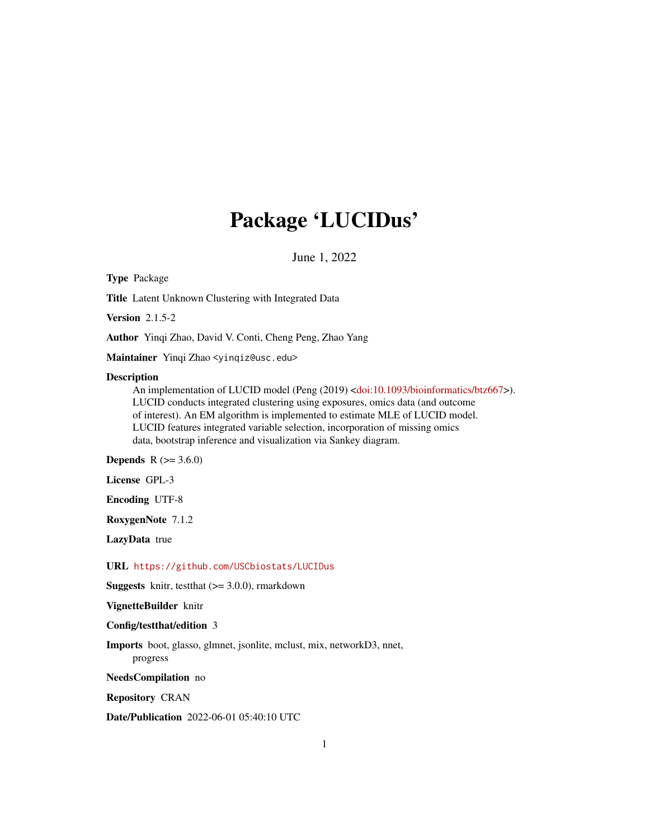# Package 'LUCIDus'

June 1, 2022

<span id="page-0-0"></span>Type Package

Title Latent Unknown Clustering with Integrated Data

Version 2.1.5-2

Author Yinqi Zhao, David V. Conti, Cheng Peng, Zhao Yang

Maintainer Yinqi Zhao <yinqiz@usc.edu>

#### **Description**

An implementation of LUCID model (Peng (2019) [<doi:10.1093/bioinformatics/btz667>](https://doi.org/10.1093/bioinformatics/btz667)). LUCID conducts integrated clustering using exposures, omics data (and outcome of interest). An EM algorithm is implemented to estimate MLE of LUCID model. LUCID features integrated variable selection, incorporation of missing omics data, bootstrap inference and visualization via Sankey diagram.

**Depends** R  $(>= 3.6.0)$ 

License GPL-3

Encoding UTF-8

RoxygenNote 7.1.2

LazyData true

URL <https://github.com/USCbiostats/LUCIDus>

**Suggests** knitr, test that  $(>= 3.0.0)$ , rmarkdown

VignetteBuilder knitr

Config/testthat/edition 3

Imports boot, glasso, glmnet, jsonlite, mclust, mix, networkD3, nnet, progress

NeedsCompilation no

Repository CRAN

Date/Publication 2022-06-01 05:40:10 UTC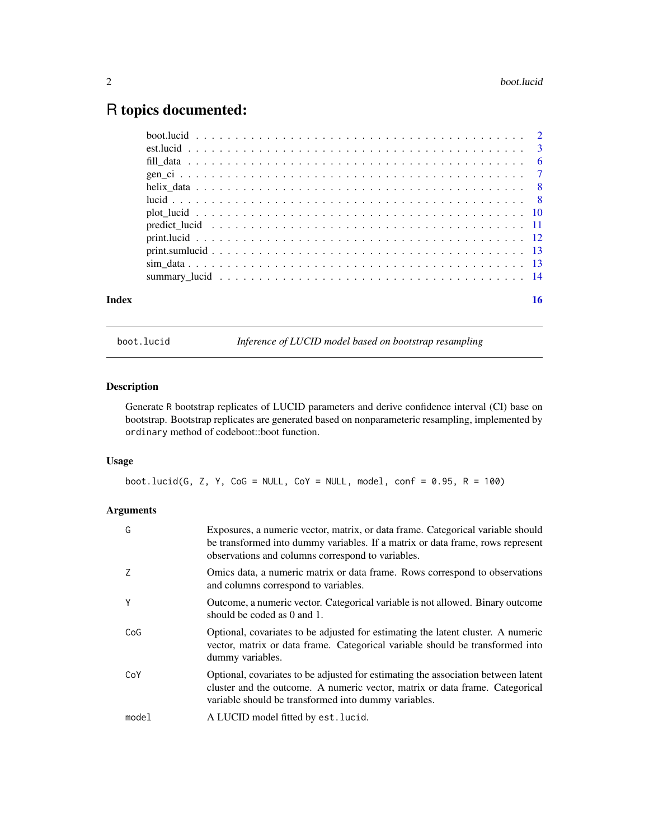# <span id="page-1-0"></span>R topics documented:

| Index | 16 |
|-------|----|
|       |    |
|       |    |
|       |    |
|       |    |
|       |    |
|       |    |
|       |    |
|       |    |
|       |    |
|       |    |
|       |    |
|       |    |

<span id="page-1-1"></span>boot.lucid *Inference of LUCID model based on bootstrap resampling*

# Description

Generate R bootstrap replicates of LUCID parameters and derive confidence interval (CI) base on bootstrap. Bootstrap replicates are generated based on nonparameteric resampling, implemented by ordinary method of codeboot::boot function.

#### Usage

boot.lucid(G, Z, Y, CoG = NULL, CoY = NULL, model, conf = 0.95, R = 100)

# Arguments

| G     | Exposures, a numeric vector, matrix, or data frame. Categorical variable should<br>be transformed into dummy variables. If a matrix or data frame, rows represent<br>observations and columns correspond to variables.    |
|-------|---------------------------------------------------------------------------------------------------------------------------------------------------------------------------------------------------------------------------|
| Ζ     | Omics data, a numeric matrix or data frame. Rows correspond to observations<br>and columns correspond to variables.                                                                                                       |
| γ     | Outcome, a numeric vector. Categorical variable is not allowed. Binary outcome<br>should be coded as 0 and 1.                                                                                                             |
| CoG   | Optional, covariates to be adjusted for estimating the latent cluster. A numeric<br>vector, matrix or data frame. Categorical variable should be transformed into<br>dummy variables.                                     |
| CoY   | Optional, covariates to be adjusted for estimating the association between latent<br>cluster and the outcome. A numeric vector, matrix or data frame. Categorical<br>variable should be transformed into dummy variables. |
| model | A LUCID model fitted by est. lucid.                                                                                                                                                                                       |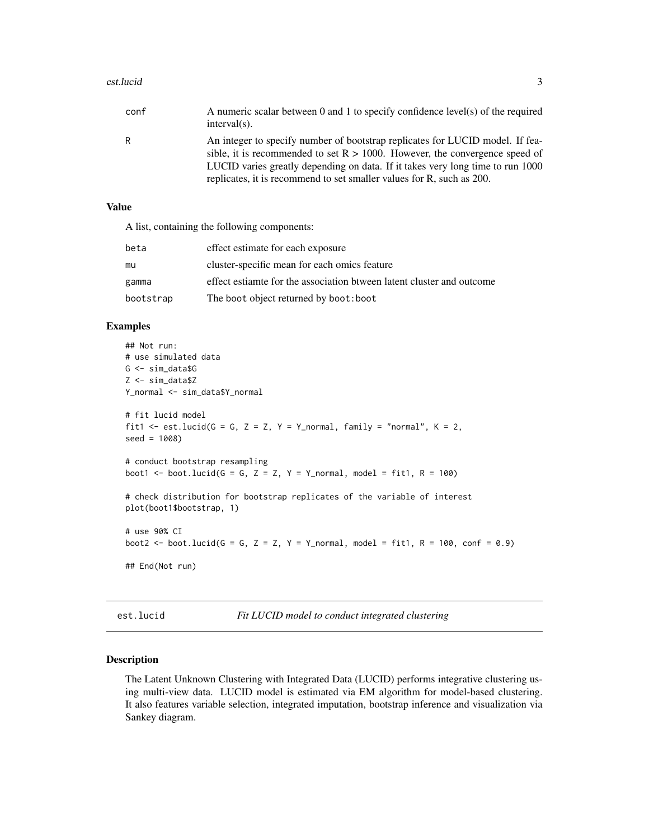#### <span id="page-2-0"></span>est.lucid 3

| conf | A numeric scalar between 0 and 1 to specify confidence level(s) of the required<br>$interval(s)$ .                                                                                                                                                                                                                         |
|------|----------------------------------------------------------------------------------------------------------------------------------------------------------------------------------------------------------------------------------------------------------------------------------------------------------------------------|
| R    | An integer to specify number of bootstrap replicates for LUCID model. If fea-<br>sible, it is recommended to set $R > 1000$ . However, the convergence speed of<br>LUCID varies greatly depending on data. If it takes very long time to run 1000<br>replicates, it is recommend to set smaller values for R, such as 200. |

#### Value

A list, containing the following components:

| beta      | effect estimate for each exposure                                     |
|-----------|-----------------------------------------------------------------------|
| mu        | cluster-specific mean for each omics feature                          |
| gamma     | effect estiamte for the association btween latent cluster and outcome |
| bootstrap | The boot object returned by boot: boot                                |

# Examples

```
## Not run:
# use simulated data
G <- sim_data$G
Z <- sim_data$Z
Y_normal <- sim_data$Y_normal
# fit lucid model
fit1 <- est.lucid(G = G, Z = Z, Y = Y normal, family = "normal", K = 2,
seed = 1008)
# conduct bootstrap resampling
boot1 <- boot.lucid(G = G, Z = Z, Y = Y_normal, model = fit1, R = 100)
# check distribution for bootstrap replicates of the variable of interest
plot(boot1$bootstrap, 1)
# use 90% CI
boot2 <- boot.lucid(G = G, Z = Z, Y = Y normal, model = fit1, R = 100, conf = 0.9)
## End(Not run)
```
<span id="page-2-1"></span>est.lucid *Fit LUCID model to conduct integrated clustering*

# Description

The Latent Unknown Clustering with Integrated Data (LUCID) performs integrative clustering using multi-view data. LUCID model is estimated via EM algorithm for model-based clustering. It also features variable selection, integrated imputation, bootstrap inference and visualization via Sankey diagram.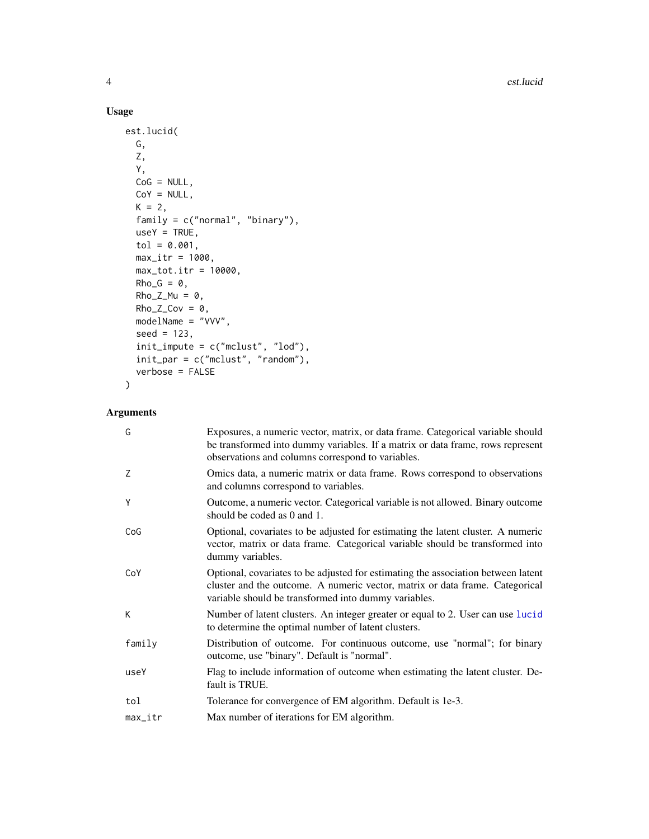# Usage

```
est.lucid(
  G,
  Z,
  Y,
  CoG = NULL,CoY = NULL,K = 2,family = c("normal", "binary"),
  useY = TRUE,tol = 0.001,max\_itr = 1000,
  max_tot.itr = 10000,
  Rho_G = 0,
  Rho_Z_M = 0,
  Rho_Z_Cov = 0,
  modelName = "VVV",
  seed = 123,
  init_impute = c("mclust", "lod"),
  init_par = c("mclust", "random"),
  verbose = FALSE
\mathcal{L}
```
# Arguments

| G       | Exposures, a numeric vector, matrix, or data frame. Categorical variable should<br>be transformed into dummy variables. If a matrix or data frame, rows represent<br>observations and columns correspond to variables.    |
|---------|---------------------------------------------------------------------------------------------------------------------------------------------------------------------------------------------------------------------------|
| Z       | Omics data, a numeric matrix or data frame. Rows correspond to observations<br>and columns correspond to variables.                                                                                                       |
| Y       | Outcome, a numeric vector. Categorical variable is not allowed. Binary outcome<br>should be coded as 0 and 1.                                                                                                             |
| CoG     | Optional, covariates to be adjusted for estimating the latent cluster. A numeric<br>vector, matrix or data frame. Categorical variable should be transformed into<br>dummy variables.                                     |
| CoY     | Optional, covariates to be adjusted for estimating the association between latent<br>cluster and the outcome. A numeric vector, matrix or data frame. Categorical<br>variable should be transformed into dummy variables. |
| К       | Number of latent clusters. An integer greater or equal to 2. User can use lucid<br>to determine the optimal number of latent clusters.                                                                                    |
| family  | Distribution of outcome. For continuous outcome, use "normal"; for binary<br>outcome, use "binary". Default is "normal".                                                                                                  |
| useY    | Flag to include information of outcome when estimating the latent cluster. De-<br>fault is TRUE.                                                                                                                          |
| tol     | Tolerance for convergence of EM algorithm. Default is 1e-3.                                                                                                                                                               |
| max_itr | Max number of iterations for EM algorithm.                                                                                                                                                                                |

<span id="page-3-0"></span>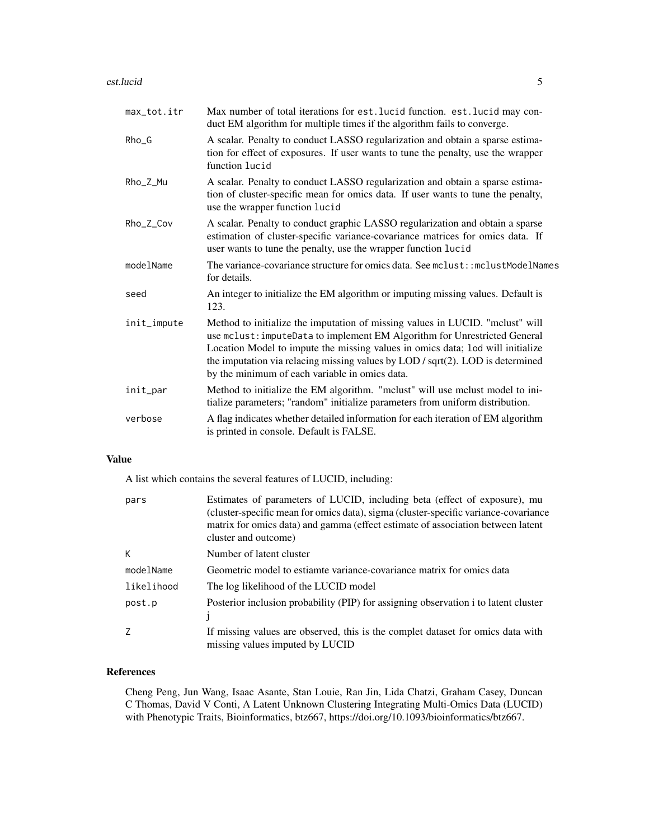est.lucid 5

| max_tot.itr | Max number of total iterations for est. lucid function. est. lucid may con-<br>duct EM algorithm for multiple times if the algorithm fails to converge.                                                                                                                                                                                                                          |
|-------------|----------------------------------------------------------------------------------------------------------------------------------------------------------------------------------------------------------------------------------------------------------------------------------------------------------------------------------------------------------------------------------|
| $Rho_G$     | A scalar. Penalty to conduct LASSO regularization and obtain a sparse estima-<br>tion for effect of exposures. If user wants to tune the penalty, use the wrapper<br>function lucid                                                                                                                                                                                              |
| Rho_Z_Mu    | A scalar. Penalty to conduct LASSO regularization and obtain a sparse estima-<br>tion of cluster-specific mean for omics data. If user wants to tune the penalty,<br>use the wrapper function lucid                                                                                                                                                                              |
| Rho_Z_Cov   | A scalar. Penalty to conduct graphic LASSO regularization and obtain a sparse<br>estimation of cluster-specific variance-covariance matrices for omics data. If<br>user wants to tune the penalty, use the wrapper function lucid                                                                                                                                                |
| modelName   | The variance-covariance structure for omics data. See mclust:: mclustModelNames<br>for details.                                                                                                                                                                                                                                                                                  |
| seed        | An integer to initialize the EM algorithm or imputing missing values. Default is<br>123.                                                                                                                                                                                                                                                                                         |
| init_impute | Method to initialize the imputation of missing values in LUCID. "mclust" will<br>use mclust: imputeData to implement EM Algorithm for Unrestricted General<br>Location Model to impute the missing values in omics data; lod will initialize<br>the imputation via relacing missing values by LOD / sqrt(2). LOD is determined<br>by the minimum of each variable in omics data. |
| init_par    | Method to initialize the EM algorithm. "mclust" will use mclust model to ini-<br>tialize parameters; "random" initialize parameters from uniform distribution.                                                                                                                                                                                                                   |
| verbose     | A flag indicates whether detailed information for each iteration of EM algorithm<br>is printed in console. Default is FALSE.                                                                                                                                                                                                                                                     |

# Value

A list which contains the several features of LUCID, including:

| pars       | Estimates of parameters of LUCID, including beta (effect of exposure), mu<br>(cluster-specific mean for omics data), sigma (cluster-specific variance-covariance<br>matrix for omics data) and gamma (effect estimate of association between latent<br>cluster and outcome) |
|------------|-----------------------------------------------------------------------------------------------------------------------------------------------------------------------------------------------------------------------------------------------------------------------------|
| К          | Number of latent cluster                                                                                                                                                                                                                                                    |
| modelName  | Geometric model to estiamte variance-covariance matrix for omics data                                                                                                                                                                                                       |
| likelihood | The log likelihood of the LUCID model                                                                                                                                                                                                                                       |
| post.p     | Posterior inclusion probability (PIP) for assigning observation i to latent cluster                                                                                                                                                                                         |
| 7          | If missing values are observed, this is the complet dataset for omics data with<br>missing values imputed by LUCID                                                                                                                                                          |

# References

Cheng Peng, Jun Wang, Isaac Asante, Stan Louie, Ran Jin, Lida Chatzi, Graham Casey, Duncan C Thomas, David V Conti, A Latent Unknown Clustering Integrating Multi-Omics Data (LUCID) with Phenotypic Traits, Bioinformatics, btz667, https://doi.org/10.1093/bioinformatics/btz667.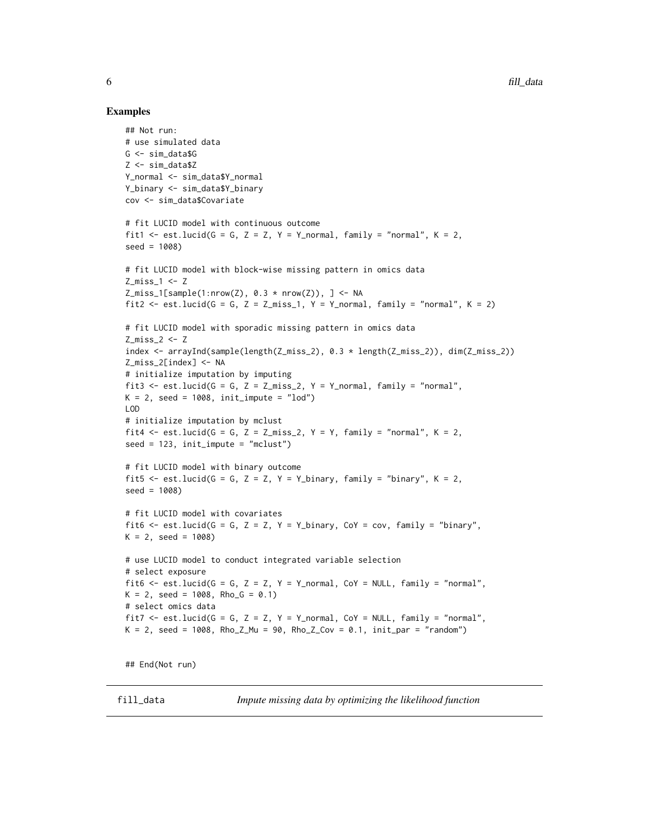#### Examples

```
## Not run:
# use simulated data
G <- sim_data$G
Z \le - \sin \thetaata$Z
Y_normal <- sim_data$Y_normal
Y_binary <- sim_data$Y_binary
cov <- sim_data$Covariate
# fit LUCID model with continuous outcome
fit1 \le est.lucid(G = G, Z = Z, Y = Y_normal, family = "normal", K = 2,
seed = 1008)
# fit LUCID model with block-wise missing pattern in omics data
Z_miss_1 <- Z
Z_miss_1[sample(1:nvw(Z), 0.3 * nrow(Z)), ] \leq Nfit2 \leq est.lucid(G = G, Z = Z_miss_1, Y = Y_normal, family = "normal", K = 2)
# fit LUCID model with sporadic missing pattern in omics data
Z_miss_2 <- Z
index <- arrayInd(sample(length(Z_miss_2), 0.3 * length(Z_miss_2)), dim(Z_miss_2))
Z_miss_2[index] <- NA
# initialize imputation by imputing
fit3 \le est.lucid(G = G, Z = Z_miss_2, Y = Y_normal, family = "normal",
K = 2, seed = 1008, init_impute = "lod")
LOD
# initialize imputation by mclust
fit4 \le est.lucid(G = G, Z = Z_miss_2, Y = Y, family = "normal", K = 2,
seed = 123, init\_impute = "mclust")# fit LUCID model with binary outcome
fit5 \leq est.lucid(G = G, Z = Z, Y = Y_binary, family = "binary", K = 2,
seed = 1008)
# fit LUCID model with covariates
fit6 \le est.lucid(G = G, Z = Z, Y = Y_binary, CoY = cov, family = "binary",
K = 2, seed = 1008)
# use LUCID model to conduct integrated variable selection
# select exposure
fit6 \leq est.lucid(G = G, Z = Z, Y = Y_normal, CoY = NULL, family = "normal",
K = 2, seed = 1008, Rho<sub>-G</sub> = 0.1)
# select omics data
fit7 <- est.lucid(G = G, Z = Z, Y = Y_normal, CoY = NULL, family = "normal",K = 2, seed = 1008, Rho_Z_Mu = 90, Rho_Z_Cov = 0.1, init_par = "random")
```
## End(Not run)

fill\_data *Impute missing data by optimizing the likelihood function*

<span id="page-5-0"></span>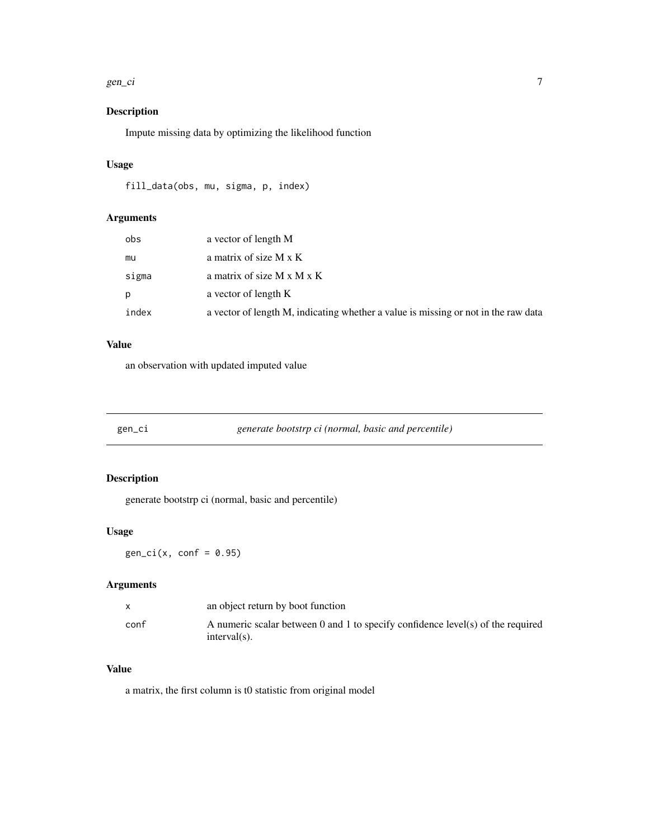#### <span id="page-6-0"></span>gen\_ci 7 and 2012 1 and 2012 1 and 2012 1 and 2012 1 and 2012 1 and 2012 1 and 2012 1 and 2012 1 and 2012 1 and 201

# Description

Impute missing data by optimizing the likelihood function

### Usage

fill\_data(obs, mu, sigma, p, index)

# Arguments

| a vector of length M                                                               |
|------------------------------------------------------------------------------------|
| a matrix of size M x K                                                             |
| a matrix of size $M \times M \times K$                                             |
| a vector of length K                                                               |
| a vector of length M, indicating whether a value is missing or not in the raw data |
|                                                                                    |

# Value

an observation with updated imputed value

gen\_ci *generate bootstrp ci (normal, basic and percentile)*

# Description

generate bootstrp ci (normal, basic and percentile)

#### Usage

 $gen\_ci(x, conf = 0.95)$ 

# Arguments

| $\mathsf{x}$ | an object return by boot function                                                                  |
|--------------|----------------------------------------------------------------------------------------------------|
| conf         | A numeric scalar between 0 and 1 to specify confidence level(s) of the required<br>$interval(s)$ . |

# Value

a matrix, the first column is t0 statistic from original model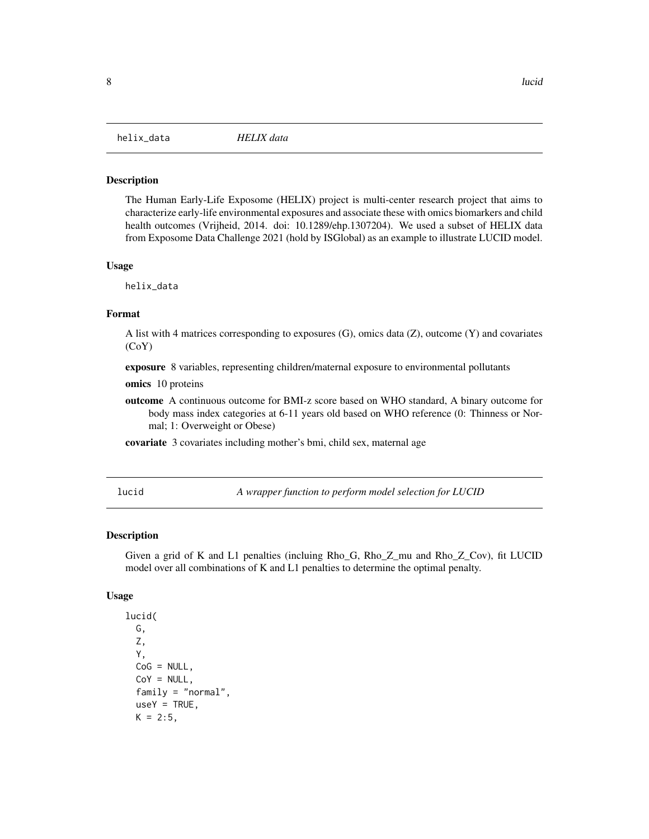<span id="page-7-0"></span>

#### Description

The Human Early-Life Exposome (HELIX) project is multi-center research project that aims to characterize early-life environmental exposures and associate these with omics biomarkers and child health outcomes (Vrijheid, 2014. doi: 10.1289/ehp.1307204). We used a subset of HELIX data from Exposome Data Challenge 2021 (hold by ISGlobal) as an example to illustrate LUCID model.

#### Usage

helix\_data

#### Format

A list with 4 matrices corresponding to exposures (G), omics data (Z), outcome (Y) and covariates (CoY)

exposure 8 variables, representing children/maternal exposure to environmental pollutants

omics 10 proteins

outcome A continuous outcome for BMI-z score based on WHO standard, A binary outcome for body mass index categories at 6-11 years old based on WHO reference (0: Thinness or Normal; 1: Overweight or Obese)

covariate 3 covariates including mother's bmi, child sex, maternal age

<span id="page-7-1"></span>

lucid *A wrapper function to perform model selection for LUCID*

#### Description

Given a grid of K and L1 penalties (incluing Rho\_G, Rho\_Z\_mu and Rho\_Z\_Cov), fit LUCID model over all combinations of K and L1 penalties to determine the optimal penalty.

#### Usage

```
lucid(
  G,
  Z,
  Y,
 CoG = NULL,
  CoY = NULL,
  family = "normal",
  useY = TRUE,K = 2:5,
```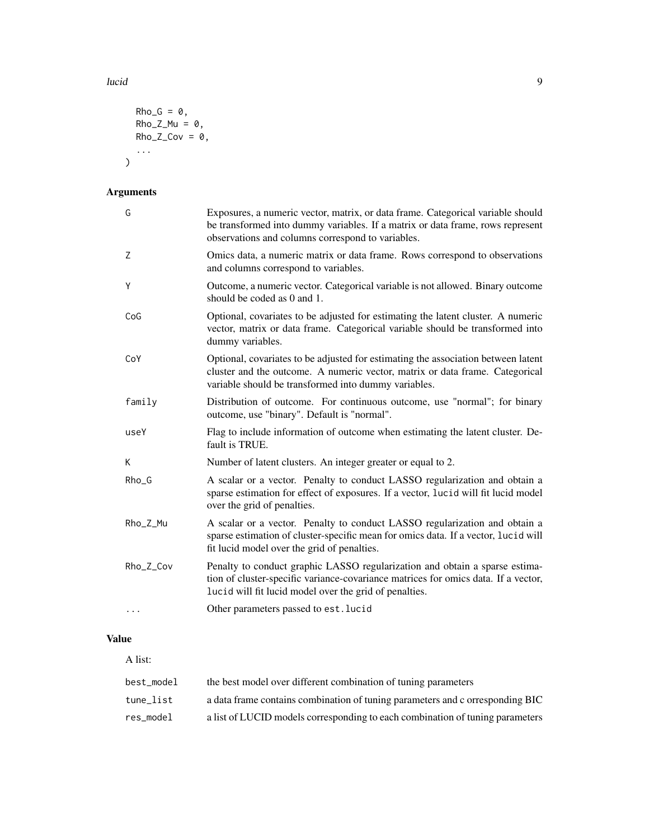lucid **9** Number 2014 19:30 19:30 19:30 19:30 19:30 19:30 19:30 19:30 19:30 19:30 19:30 19:30 19:30 19:30 19:30 19:30 19:30 19:30 19:30 19:30 19:30 19:30 19:30 19:30 19:30 19:30 19:30 19:30 19:30 19:30 19:30 19:30 19:30 19

```
Rho_G = 0,
Rho_Z_M = 0,
Rho_ZCov = 0,
...
```
# Arguments

)

| G         | Exposures, a numeric vector, matrix, or data frame. Categorical variable should<br>be transformed into dummy variables. If a matrix or data frame, rows represent<br>observations and columns correspond to variables.      |
|-----------|-----------------------------------------------------------------------------------------------------------------------------------------------------------------------------------------------------------------------------|
| Ζ         | Omics data, a numeric matrix or data frame. Rows correspond to observations<br>and columns correspond to variables.                                                                                                         |
| Υ         | Outcome, a numeric vector. Categorical variable is not allowed. Binary outcome<br>should be coded as 0 and 1.                                                                                                               |
| CoG       | Optional, covariates to be adjusted for estimating the latent cluster. A numeric<br>vector, matrix or data frame. Categorical variable should be transformed into<br>dummy variables.                                       |
| CoY       | Optional, covariates to be adjusted for estimating the association between latent<br>cluster and the outcome. A numeric vector, matrix or data frame. Categorical<br>variable should be transformed into dummy variables.   |
| family    | Distribution of outcome. For continuous outcome, use "normal"; for binary<br>outcome, use "binary". Default is "normal".                                                                                                    |
| useY      | Flag to include information of outcome when estimating the latent cluster. De-<br>fault is TRUE.                                                                                                                            |
| K         | Number of latent clusters. An integer greater or equal to 2.                                                                                                                                                                |
| Rho_G     | A scalar or a vector. Penalty to conduct LASSO regularization and obtain a<br>sparse estimation for effect of exposures. If a vector, lucid will fit lucid model<br>over the grid of penalties.                             |
| Rho_Z_Mu  | A scalar or a vector. Penalty to conduct LASSO regularization and obtain a<br>sparse estimation of cluster-specific mean for omics data. If a vector, lucid will<br>fit lucid model over the grid of penalties.             |
| Rho_Z_Cov | Penalty to conduct graphic LASSO regularization and obtain a sparse estima-<br>tion of cluster-specific variance-covariance matrices for omics data. If a vector,<br>lucid will fit lucid model over the grid of penalties. |
| $\cdots$  | Other parameters passed to est. lucid                                                                                                                                                                                       |

# Value

A list:

| best model | the best model over different combination of tuning parameters                |
|------------|-------------------------------------------------------------------------------|
| tune list  | a data frame contains combination of tuning parameters and c orresponding BIC |
| res model  | a list of LUCID models corresponding to each combination of tuning parameters |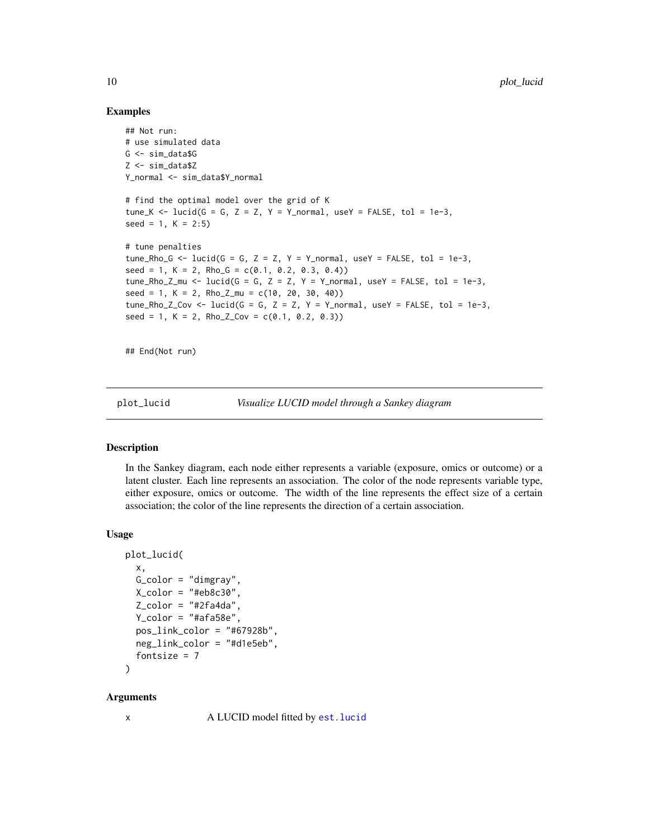#### Examples

```
## Not run:
# use simulated data
G <- sim_data$G
Z <- sim data$Z
Y_normal <- sim_data$Y_normal
# find the optimal model over the grid of K
tune_K <- lucid(G = G, Z = Z, Y = Y_normal, useY = FALSE, tol = 1e-3,
seed = 1, K = 2:5# tune penalties
tune_Rho_G <- lucid(G = G, Z = Z, Y = Y_normal, useY = FALSE, tol = 1e-3,
seed = 1, K = 2, Rho_G = c(0.1, 0.2, 0.3, 0.4)tune_Rho_Z_mu <- lucid(G = G, Z = Z, Y = Y_normal, useY = FALSE, tol = 1e-3,
seed = 1, K = 2, Rho_Z_mu = c(10, 20, 30, 40)tune_Rho_Z_Cov <- lucid(G = G, Z = Z, Y = Y_normal, useY = FALSE, tol = 1e-3,
seed = 1, K = 2, Rho_2c_0v = c(0.1, 0.2, 0.3)
```
## End(Not run)

plot\_lucid *Visualize LUCID model through a Sankey diagram*

### Description

In the Sankey diagram, each node either represents a variable (exposure, omics or outcome) or a latent cluster. Each line represents an association. The color of the node represents variable type, either exposure, omics or outcome. The width of the line represents the effect size of a certain association; the color of the line represents the direction of a certain association.

#### Usage

```
plot_lucid(
  x,
  G_color = "dimgray",
  X_{color} = "#eb8c30"Z_{\text{color}} = "#2fa4da",
  Y_{color} = "#afa58e",pos_link_color = "#67928b",
  neg_link_color = "#d1e5eb",
  fontsize = 7\lambda
```
### Arguments

x A LUCID model fitted by [est.lucid](#page-2-1)

<span id="page-9-0"></span>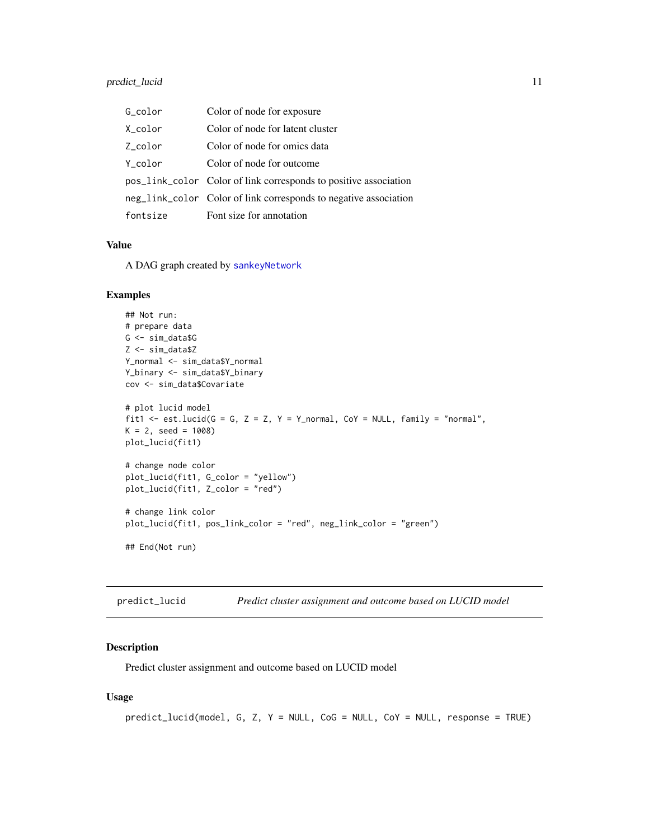<span id="page-10-0"></span>

| G_color  | Color of node for exposure                                       |
|----------|------------------------------------------------------------------|
| X_color  | Color of node for latent cluster                                 |
| Z color  | Color of node for omics data                                     |
| Y color  | Color of node for outcome                                        |
|          | pos_link_color Color of link corresponds to positive association |
|          | neg_link_color Color of link corresponds to negative association |
| fontsize | Font size for annotation                                         |

#### Value

A DAG graph created by [sankeyNetwork](#page-0-0)

#### Examples

```
## Not run:
# prepare data
G <- sim_data$G
Z <- sim_data$Z
Y_normal <- sim_data$Y_normal
Y_binary <- sim_data$Y_binary
cov <- sim_data$Covariate
# plot lucid model
fit1 <- est.lucid(G = G, Z = Z, Y = Y normal, CoY = NULL, family = "normal",K = 2, seed = 1008)
plot_lucid(fit1)
# change node color
plot_lucid(fit1, G_color = "yellow")
plot_lucid(fit1, Z_color = "red")
# change link color
plot_lucid(fit1, pos_link_color = "red", neg_link_color = "green")
## End(Not run)
```
predict\_lucid *Predict cluster assignment and outcome based on LUCID model*

#### Description

Predict cluster assignment and outcome based on LUCID model

# Usage

```
predict_lucid(model, G, Z, Y = NULL, CoG = NULL, CoY = NULL, response = TRUE)
```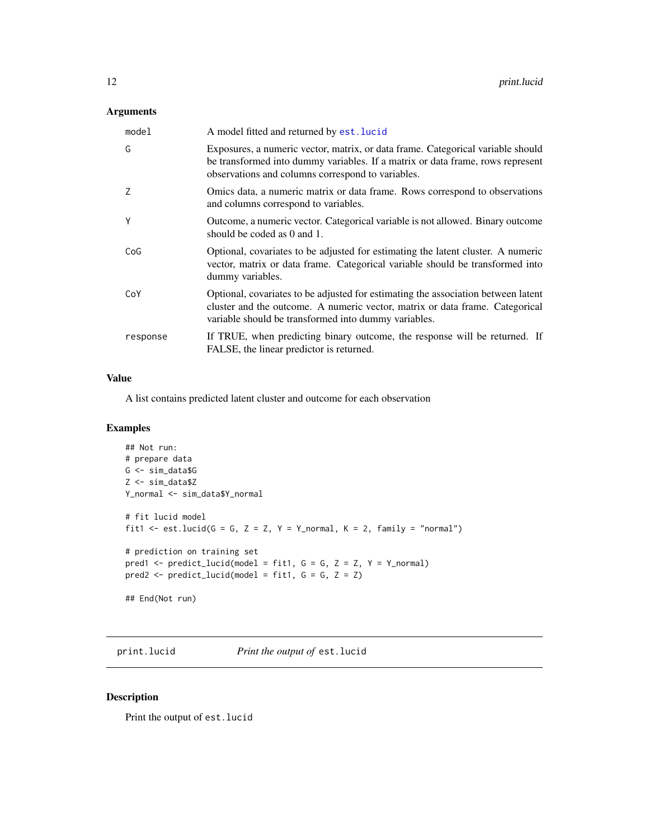### <span id="page-11-0"></span>Arguments

| model    | A model fitted and returned by est. lucid                                                                                                                                                                                 |
|----------|---------------------------------------------------------------------------------------------------------------------------------------------------------------------------------------------------------------------------|
| G        | Exposures, a numeric vector, matrix, or data frame. Categorical variable should<br>be transformed into dummy variables. If a matrix or data frame, rows represent<br>observations and columns correspond to variables.    |
| Z        | Omics data, a numeric matrix or data frame. Rows correspond to observations<br>and columns correspond to variables.                                                                                                       |
| Y        | Outcome, a numeric vector. Categorical variable is not allowed. Binary outcome<br>should be coded as $0$ and $1$ .                                                                                                        |
| CoG      | Optional, covariates to be adjusted for estimating the latent cluster. A numeric<br>vector, matrix or data frame. Categorical variable should be transformed into<br>dummy variables.                                     |
| CoY      | Optional, covariates to be adjusted for estimating the association between latent<br>cluster and the outcome. A numeric vector, matrix or data frame. Categorical<br>variable should be transformed into dummy variables. |
| response | If TRUE, when predicting binary outcome, the response will be returned. If<br>FALSE, the linear predictor is returned.                                                                                                    |

# Value

A list contains predicted latent cluster and outcome for each observation

# Examples

```
## Not run:
# prepare data
G <- sim_data$G
Z <- sim_data$Z
Y_normal <- sim_data$Y_normal
# fit lucid model
fit1 <- est.lucid(G = G, Z = Z, Y = Y_normal, K = 2, family = "normal")
# prediction on training set
pred1 <- predict_lucid(model = fit1, G = G, Z = Z, Y = Y_normal)
pred2 <- predict_lucid(model = fit1, G = G, Z = Z)
## End(Not run)
```
print.lucid *Print the output of* est.lucid

# Description

Print the output of est.lucid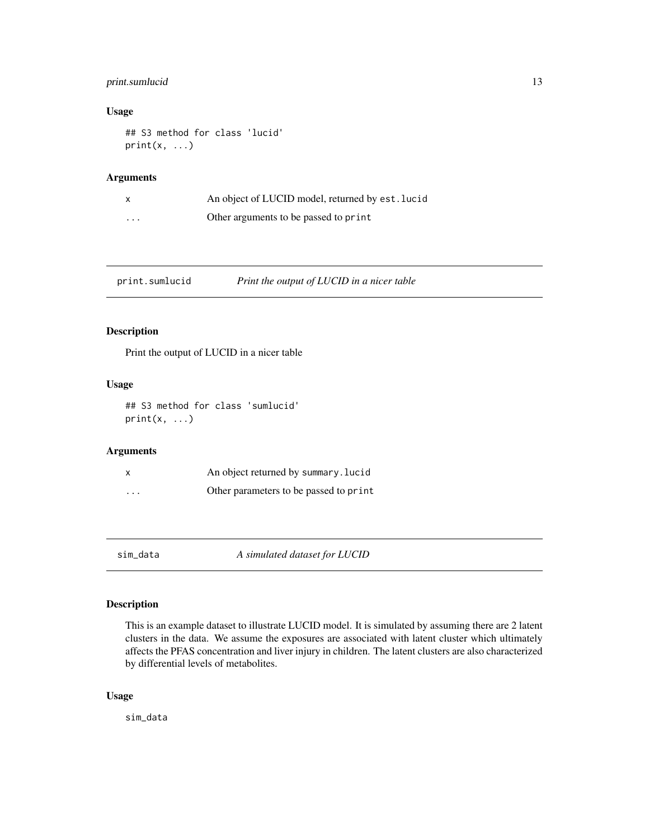# <span id="page-12-0"></span>print.sumlucid 13

#### Usage

## S3 method for class 'lucid'  $print(x, \ldots)$ 

### Arguments

|         | An object of LUCID model, returned by est. lucid |
|---------|--------------------------------------------------|
| $\cdot$ | Other arguments to be passed to print            |

print.sumlucid *Print the output of LUCID in a nicer table*

# Description

Print the output of LUCID in a nicer table

# Usage

## S3 method for class 'sumlucid'  $print(x, \ldots)$ 

# Arguments

|                         | An object returned by summary. lucid   |
|-------------------------|----------------------------------------|
| $\cdot$ $\cdot$ $\cdot$ | Other parameters to be passed to print |

sim\_data *A simulated dataset for LUCID*

# Description

This is an example dataset to illustrate LUCID model. It is simulated by assuming there are 2 latent clusters in the data. We assume the exposures are associated with latent cluster which ultimately affects the PFAS concentration and liver injury in children. The latent clusters are also characterized by differential levels of metabolites.

#### Usage

sim\_data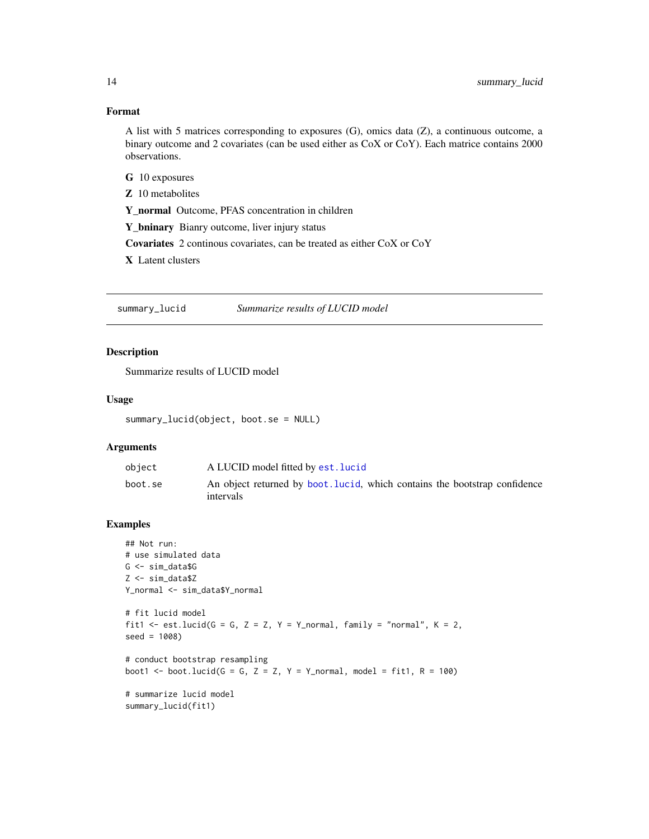### Format

A list with 5 matrices corresponding to exposures (G), omics data (Z), a continuous outcome, a binary outcome and 2 covariates (can be used either as CoX or CoY). Each matrice contains 2000 observations.

- G 10 exposures
- Z 10 metabolites
- Y\_normal Outcome, PFAS concentration in children
- Y\_bninary Bianry outcome, liver injury status
- Covariates 2 continous covariates, can be treated as either CoX or CoY
- X Latent clusters

summary\_lucid *Summarize results of LUCID model*

#### Description

Summarize results of LUCID model

#### Usage

summary\_lucid(object, boot.se = NULL)

#### Arguments

| object  | A LUCID model fitted by est. lucid                                                     |
|---------|----------------------------------------------------------------------------------------|
| boot.se | An object returned by boot lucid, which contains the bootstrap confidence<br>intervals |

### Examples

```
## Not run:
# use simulated data
G <- sim_data$G
Z <- sim_data$Z
Y_normal <- sim_data$Y_normal
# fit lucid model
fit1 <- est.lucid(G = G, Z = Z, Y = Y normal, family = "normal", K = 2,
seed = 1008)
# conduct bootstrap resampling
boot1 <- boot.lucid(G = G, Z = Z, Y = Y_normal, model = fit1, R = 100)
# summarize lucid model
summary_lucid(fit1)
```
<span id="page-13-0"></span>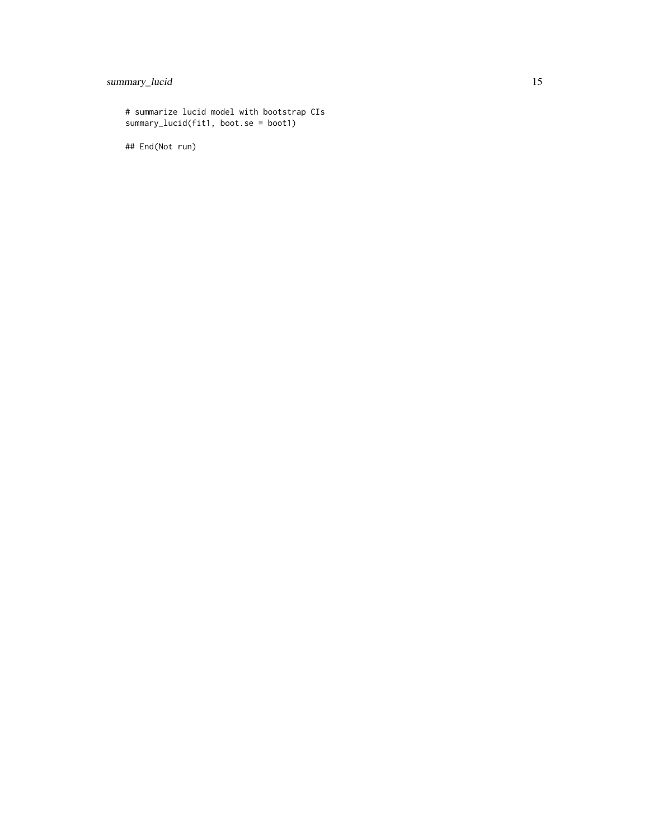# summary\_lucid 15

```
# summarize lucid model with bootstrap CIs
summary_lucid(fit1, boot.se = boot1)
```
## End(Not run)